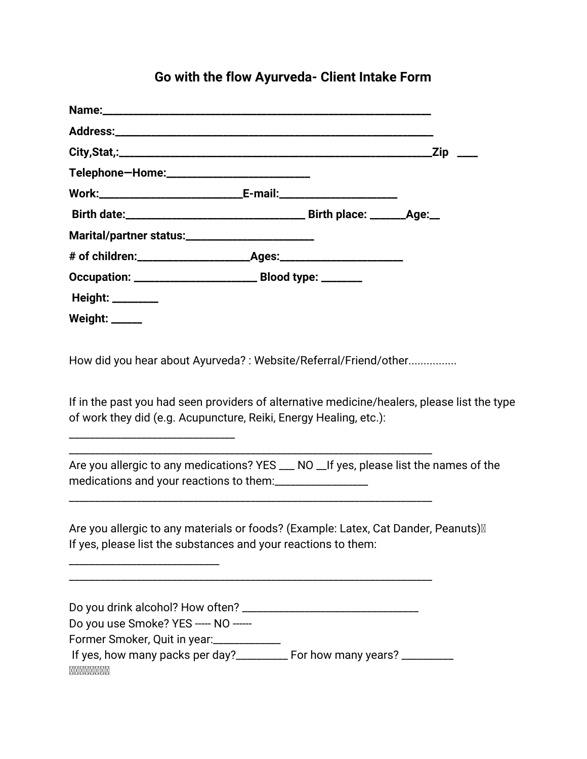### **Go with the flow Ayurveda- Client Intake Form**

| Telephone-Home:___________________________                            |  |  |
|-----------------------------------------------------------------------|--|--|
|                                                                       |  |  |
|                                                                       |  |  |
| Marital/partner status:________________________                       |  |  |
|                                                                       |  |  |
| Occupation: ___________________________________ Blood type: _________ |  |  |
| Height: _________                                                     |  |  |
| <b>Weight:</b> _____                                                  |  |  |

How did you hear about Ayurveda? : Website/Referral/Friend/other................

\_\_\_\_\_\_\_\_\_\_\_\_\_\_\_\_\_\_\_\_\_\_\_\_\_\_\_\_\_\_\_\_\_\_\_\_\_\_\_\_\_\_\_\_\_\_\_\_\_\_\_\_\_\_\_\_\_\_\_\_\_\_\_\_\_\_\_\_\_\_

\_\_\_\_\_\_\_\_\_\_\_\_\_\_\_\_\_\_\_\_\_\_\_\_\_\_\_\_\_\_\_\_\_\_\_\_\_\_\_\_\_\_\_\_\_\_\_\_\_\_\_\_\_\_\_\_\_\_\_\_\_\_\_\_\_\_\_\_\_\_

\_\_\_\_\_\_\_\_\_\_\_\_\_\_\_\_\_\_\_\_\_\_\_\_\_\_\_\_\_\_\_\_\_\_\_\_\_\_\_\_\_\_\_\_\_\_\_\_\_\_\_\_\_\_\_\_\_\_\_\_\_\_\_\_\_\_\_\_\_\_

\_\_\_\_\_\_\_\_\_\_\_\_\_\_\_\_\_\_\_\_\_\_\_\_\_\_\_\_\_\_\_\_

\_\_\_\_\_\_\_\_\_\_\_\_\_\_\_\_\_\_\_\_\_\_\_\_\_\_\_\_\_

If in the past you had seen providers of alternative medicine/healers, please list the type of work they did (e.g. Acupuncture, Reiki, Energy Healing, etc.):

Are you allergic to any medications? YES \_\_\_ NO \_\_ If yes, please list the names of the medications and your reactions to them:\_\_\_\_\_\_\_\_\_\_\_\_\_\_\_\_\_\_

Are you allergic to any materials or foods? (Example: Latex, Cat Dander, Peanuts) II If yes, please list the substances and your reactions to them:

| Do you drink alcohol? How often?                             |  |
|--------------------------------------------------------------|--|
| Do you use Smoke? YES ----- NO ------                        |  |
| Former Smoker, Quit in year:                                 |  |
| If yes, how many packs per day?______<br>For how many years? |  |
| MMMMMMMM                                                     |  |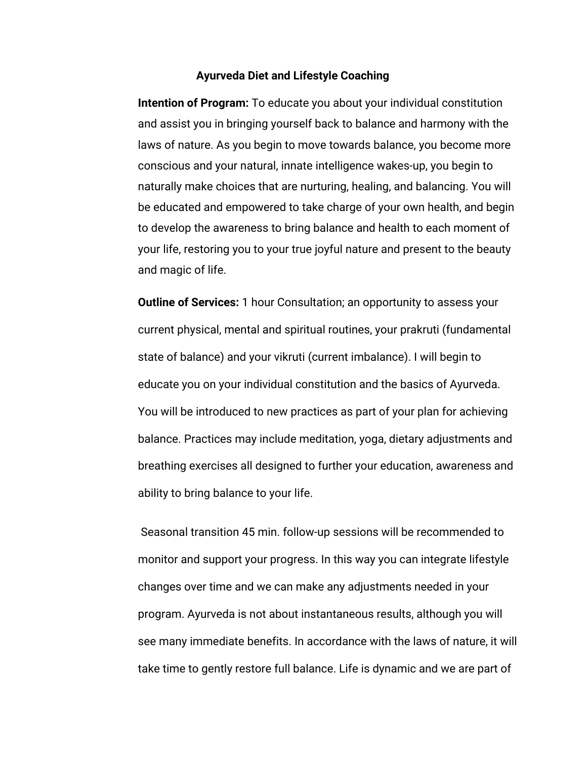#### **Ayurveda Diet and Lifestyle Coaching**

**Intention of Program:** To educate you about your individual constitution and assist you in bringing yourself back to balance and harmony with the laws of nature. As you begin to move towards balance, you become more conscious and your natural, innate intelligence wakes-up, you begin to naturally make choices that are nurturing, healing, and balancing. You will be educated and empowered to take charge of your own health, and begin to develop the awareness to bring balance and health to each moment of your life, restoring you to your true joyful nature and present to the beauty and magic of life.

**Outline of Services:** 1 hour Consultation; an opportunity to assess your current physical, mental and spiritual routines, your prakruti (fundamental state of balance) and your vikruti (current imbalance). I will begin to educate you on your individual constitution and the basics of Ayurveda. You will be introduced to new practices as part of your plan for achieving balance. Practices may include meditation, yoga, dietary adjustments and breathing exercises all designed to further your education, awareness and ability to bring balance to your life.

 Seasonal transition 45 min. follow-up sessions will be recommended to monitor and support your progress. In this way you can integrate lifestyle changes over time and we can make any adjustments needed in your program. Ayurveda is not about instantaneous results, although you will see many immediate benefits. In accordance with the laws of nature, it will take time to gently restore full balance. Life is dynamic and we are part of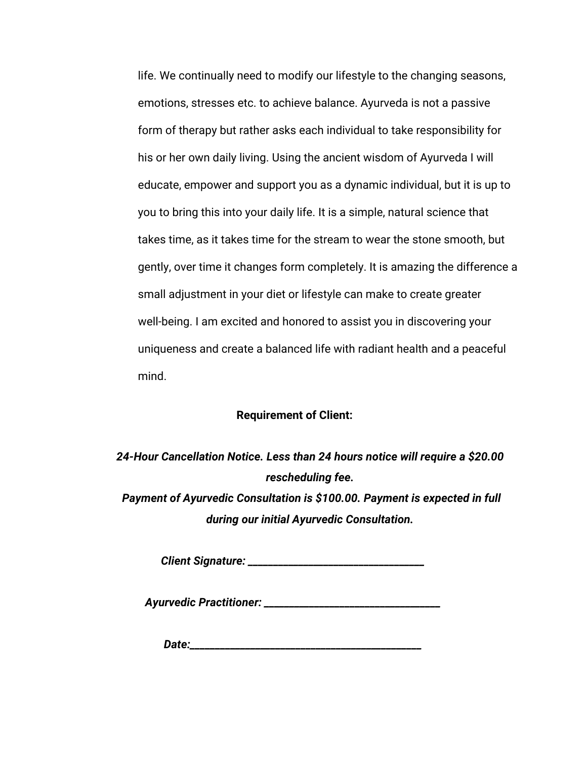life. We continually need to modify our lifestyle to the changing seasons, emotions, stresses etc. to achieve balance. Ayurveda is not a passive form of therapy but rather asks each individual to take responsibility for his or her own daily living. Using the ancient wisdom of Ayurveda I will educate, empower and support you as a dynamic individual, but it is up to you to bring this into your daily life. It is a simple, natural science that takes time, as it takes time for the stream to wear the stone smooth, but gently, over time it changes form completely. It is amazing the difference a small adjustment in your diet or lifestyle can make to create greater well-being. I am excited and honored to assist you in discovering your uniqueness and create a balanced life with radiant health and a peaceful mind.

#### **Requirement of Client:**

*24-Hour Cancellation Notice. Less than 24 hours notice will require a \$20.00 rescheduling fee. Payment of Ayurvedic Consultation is \$100.00. Payment is expected in full during our initial Ayurvedic Consultation.*

*Client Signature: \_\_\_\_\_\_\_\_\_\_\_\_\_\_\_\_\_\_\_\_\_\_\_\_\_\_\_\_\_\_\_\_\_\_\_*

*Ayurvedic Practitioner: \_\_\_\_\_\_\_\_\_\_\_\_\_\_\_\_\_\_\_\_\_\_\_\_\_\_\_\_\_\_\_\_\_\_\_*

*Date:\_\_\_\_\_\_\_\_\_\_\_\_\_\_\_\_\_\_\_\_\_\_\_\_\_\_\_\_\_\_\_\_\_\_\_\_\_\_\_\_\_\_\_\_\_\_*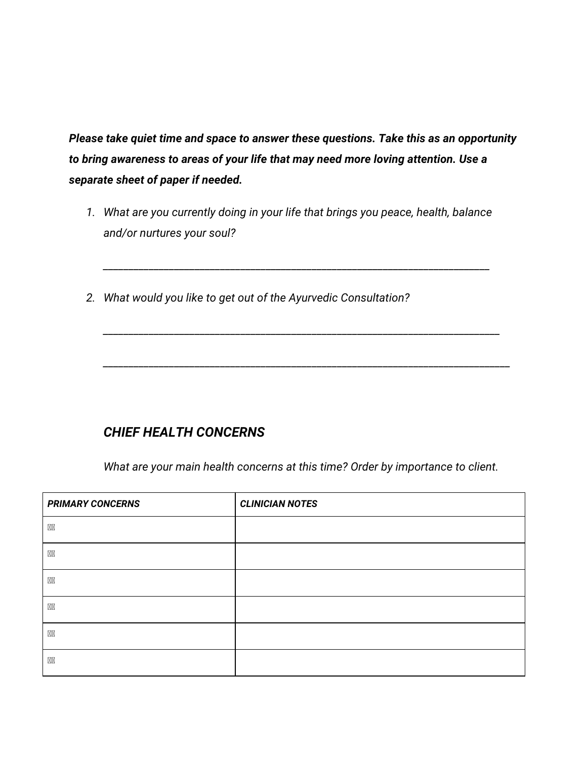*Please take quiet time and space to answer these questions. Take this as an opportunity to bring awareness to areas of your life that may need more loving attention. Use a separate sheet of paper if needed.*

*1. What are you currently doing in your life that brings you peace, health, balance and/or nurtures your soul?*

*\_\_\_\_\_\_\_\_\_\_\_\_\_\_\_\_\_\_\_\_\_\_\_\_\_\_\_\_\_\_\_\_\_\_\_\_\_\_\_\_\_\_\_\_\_\_\_\_\_\_\_\_\_\_\_\_\_\_\_\_\_\_\_\_\_\_\_\_\_\_\_\_\_\_\_\_*

*\_\_\_\_\_\_\_\_\_\_\_\_\_\_\_\_\_\_\_\_\_\_\_\_\_\_\_\_\_\_\_\_\_\_\_\_\_\_\_\_\_\_\_\_\_\_\_\_\_\_\_\_\_\_\_\_\_\_\_\_\_\_\_\_\_\_\_\_\_\_\_\_\_\_\_\_\_\_*

*\_\_\_\_\_\_\_\_\_\_\_\_\_\_\_\_\_\_\_\_\_\_\_\_\_\_\_\_\_\_\_\_\_\_\_\_\_\_\_\_\_\_\_\_\_\_\_\_\_\_\_\_\_\_\_\_\_\_\_\_\_\_\_\_\_\_\_\_\_\_\_\_\_\_\_\_\_\_\_\_*

*2. What would you like to get out of the Ayurvedic Consultation?*

### *CHIEF HEALTH CONCERNS*

*What are your main health concerns at this time? Order by importance to client.*

| <b>PRIMARY CONCERNS</b> | <b>CLINICIAN NOTES</b> |
|-------------------------|------------------------|
| <b>XX</b>               |                        |
| <b>Ø</b>                |                        |
| <b>Ø</b>                |                        |
| <b>XX</b>               |                        |
| <b>XX</b>               |                        |
| ØØ                      |                        |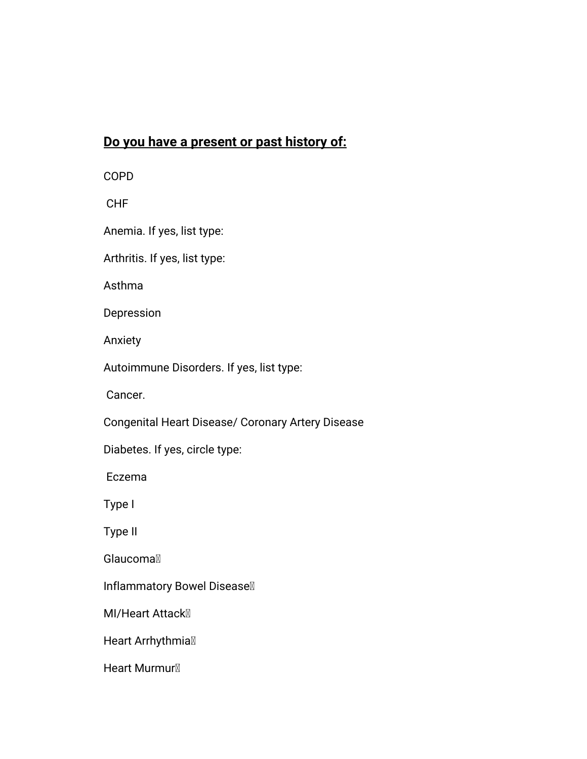## **Do you have a present or past history of:**

COPD

CHF

Anemia. If yes, list type:

Arthritis. If yes, list type:

Asthma

Depression

Anxiety

Autoimmune Disorders. If yes, list type:

Cancer.

Congenital Heart Disease/ Coronary Artery Disease

Diabetes. If yes, circle type:

Eczema

Type I

Type II

**Glaucomal** 

Inflammatory Bowel Disease

**MI/Heart Attack** 

Heart Arrhythmia<sup>®</sup>

Heart Murmur<sup>®</sup>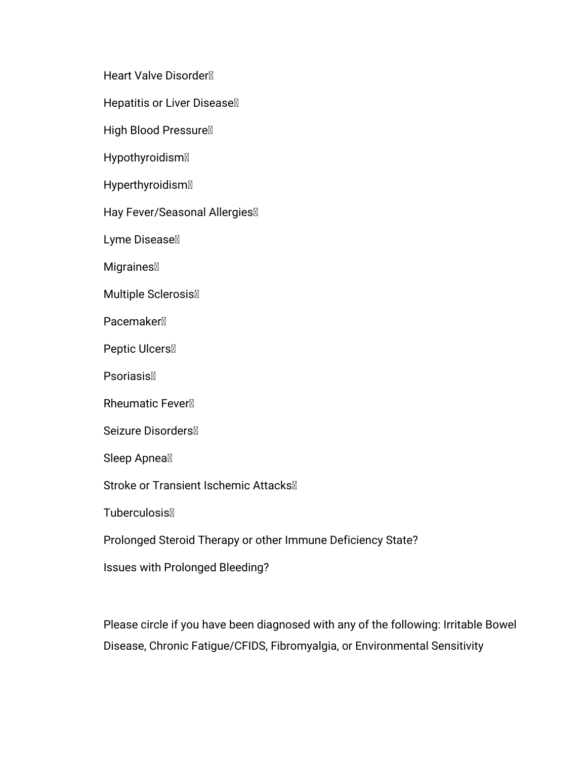Heart Valve Disorder

Hepatitis or Liver Disease

High Blood Pressure<sup>[0]</sup>

Hypothyroidism

Hyperthyroidism

Hay Fever/Seasonal Allergies

Lyme Disease

**Migraines** 

Multiple Sclerosis

**Pacemaker**<sup>1</sup>

Peptic Ulcers

**Psoriasis** 

Rheumatic Fever

Seizure Disorders

Sleep Apnea<sup>®</sup>

Stroke or Transient Ischemic Attacks<sup>®</sup>

**Tuberculosis** 

Prolonged Steroid Therapy or other Immune Deficiency State?

Issues with Prolonged Bleeding?

Please circle if you have been diagnosed with any of the following: Irritable Bowel Disease, Chronic Fatigue/CFIDS, Fibromyalgia, or Environmental Sensitivity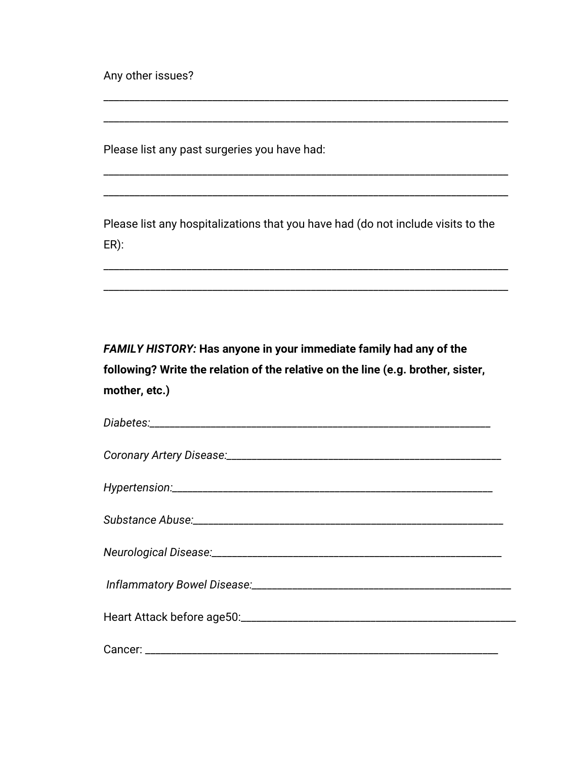Any other issues?

Please list any past surgeries you have had:

Please list any hospitalizations that you have had (do not include visits to the  $ER)$ :

FAMILY HISTORY: Has anyone in your immediate family had any of the following? Write the relation of the relative on the line (e.g. brother, sister, mother, etc.)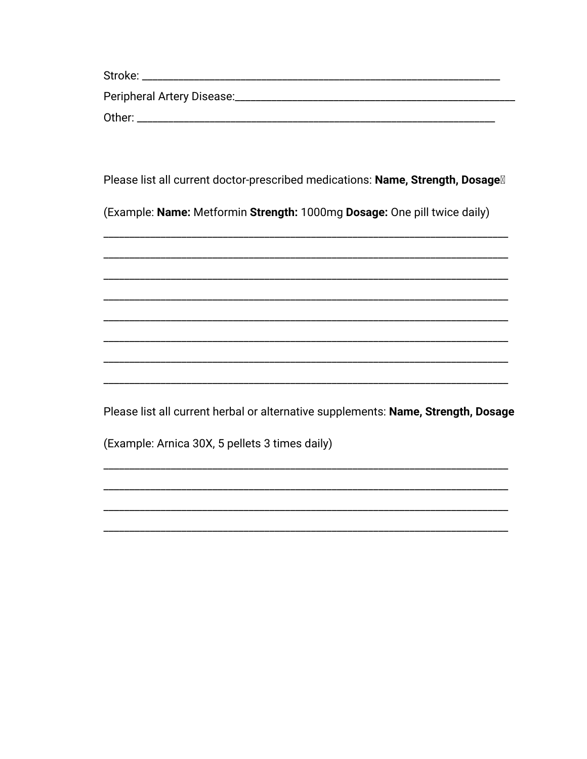| Stroke:                    |  |
|----------------------------|--|
| Peripheral Artery Disease: |  |
| Other:                     |  |

Please list all current doctor-prescribed medications: Name, Strength, Dosage<sup>1</sup>

(Example: Name: Metformin Strength: 1000mg Dosage: One pill twice daily)

Please list all current herbal or alternative supplements: Name, Strength, Dosage

(Example: Arnica 30X, 5 pellets 3 times daily)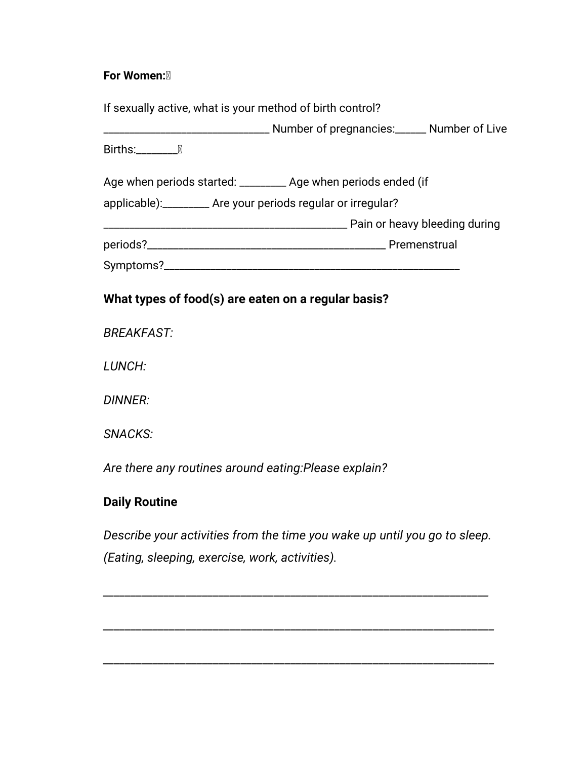#### **For Women:**

| If sexually active, what is your method of birth control?       |
|-----------------------------------------------------------------|
|                                                                 |
| Births:                                                         |
| Age when periods started: __________ Age when periods ended (if |
| applicable): ________ Are your periods regular or irregular?    |
|                                                                 |
|                                                                 |
|                                                                 |
| What types of food(s) are eaten on a regular basis?             |
| <b>BREAKFAST:</b>                                               |
| LUNCH:                                                          |
| DINNER:                                                         |

*SNACKS:*

*Are there any routines around eating:Please explain?*

# **Daily Routine**

*Describe your activities from the time you wake up until you go to sleep. (Eating, sleeping, exercise, work, activities).*

*\_\_\_\_\_\_\_\_\_\_\_\_\_\_\_\_\_\_\_\_\_\_\_\_\_\_\_\_\_\_\_\_\_\_\_\_\_\_\_\_\_\_\_\_\_\_\_\_\_\_\_\_\_\_\_\_\_\_\_\_\_\_\_\_\_\_\_\_\_\_*

*\_\_\_\_\_\_\_\_\_\_\_\_\_\_\_\_\_\_\_\_\_\_\_\_\_\_\_\_\_\_\_\_\_\_\_\_\_\_\_\_\_\_\_\_\_\_\_\_\_\_\_\_\_\_\_\_\_\_\_\_\_\_\_\_\_\_\_\_\_\_\_*

*\_\_\_\_\_\_\_\_\_\_\_\_\_\_\_\_\_\_\_\_\_\_\_\_\_\_\_\_\_\_\_\_\_\_\_\_\_\_\_\_\_\_\_\_\_\_\_\_\_\_\_\_\_\_\_\_\_\_\_\_\_\_\_\_\_\_\_\_\_\_\_*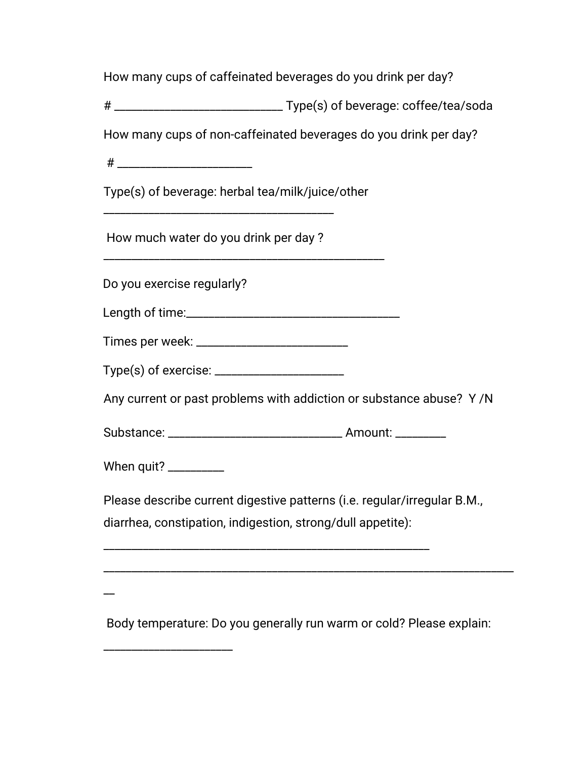How many cups of caffeinated beverages do you drink per day?

# \_\_\_\_\_\_\_\_\_\_\_\_\_\_\_\_\_\_\_\_\_\_\_\_\_\_\_\_\_\_ Type(s) of beverage: coffee/tea/soda

How many cups of non-caffeinated beverages do you drink per day?

 $\#$ 

Type(s) of beverage: herbal tea/milk/juice/other

\_\_\_\_\_\_\_\_\_\_\_\_\_\_\_\_\_\_\_\_\_\_\_\_\_\_\_\_\_\_\_\_\_\_\_\_\_\_\_\_\_\_\_\_\_\_\_\_\_\_

How much water do you drink per day ?

\_\_\_\_\_\_\_\_\_\_\_\_\_\_\_\_\_\_\_\_\_\_\_\_\_\_\_\_\_\_\_\_\_\_\_\_\_\_\_\_\_

Do you exercise regularly?

Length of time:\_\_\_\_\_\_\_\_\_\_\_\_\_\_\_\_\_\_\_\_\_\_\_\_\_\_\_\_\_\_\_\_\_\_\_\_\_\_

Times per week: \_\_\_\_\_\_\_\_\_\_\_\_\_\_\_\_\_\_\_\_\_\_\_\_\_\_\_

Type(s) of exercise: \_\_\_\_\_\_\_\_\_\_\_\_\_\_\_\_\_\_\_\_\_\_\_

Any current or past problems with addiction or substance abuse? Y /N

Substance: \_\_\_\_\_\_\_\_\_\_\_\_\_\_\_\_\_\_\_\_\_\_\_\_\_\_\_\_\_\_\_ Amount: \_\_\_\_\_\_\_\_\_

\_\_\_\_\_\_\_\_\_\_\_\_\_\_\_\_\_\_\_\_\_\_\_\_\_\_\_\_\_\_\_\_\_\_\_\_\_\_\_\_\_\_\_\_\_\_\_\_\_\_\_\_\_\_\_\_\_\_

When quit? \_\_\_\_\_\_\_\_\_\_

\_\_\_\_\_\_\_\_\_\_\_\_\_\_\_\_\_\_\_\_\_\_\_

Please describe current digestive patterns (i.e. regular/irregular B.M., diarrhea, constipation, indigestion, strong/dull appetite):

 $\overline{\phantom{a}}$ 

Body temperature: Do you generally run warm or cold? Please explain:

\_\_\_\_\_\_\_\_\_\_\_\_\_\_\_\_\_\_\_\_\_\_\_\_\_\_\_\_\_\_\_\_\_\_\_\_\_\_\_\_\_\_\_\_\_\_\_\_\_\_\_\_\_\_\_\_\_\_\_\_\_\_\_\_\_\_\_\_\_\_\_\_\_